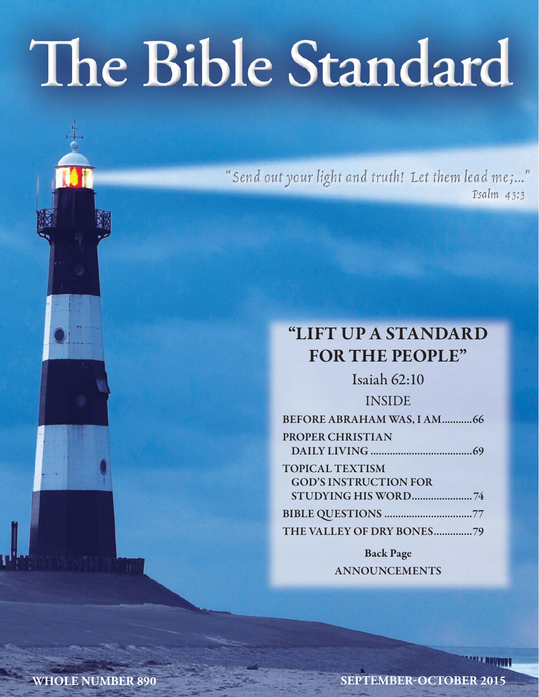# The Bible Standard

"Send out your light and truth! Let them lead me;..." Psalm 43:3

# **"LIFT UP A STANDARD FOR THE PEOPLE"**

Isaiah 62:10 INSIDE **BEFORE ABRAHAM WAS, I AM ...........66 PROPER CHRISTIAN DAILY LIVING .....................................69 TOPICAL TEXTISM GOD'S INSTRUCTION FOR STUDYING HIS WORD ...................... 74 BIBLE QUESTIONS ................................77 THE VALLEY OF DRY BONES ..............79 Back Page**

**ANNOUNCEMENTS**

**WHOLE NUMBER 890 SEPTEMBER-OCTOBER 2015**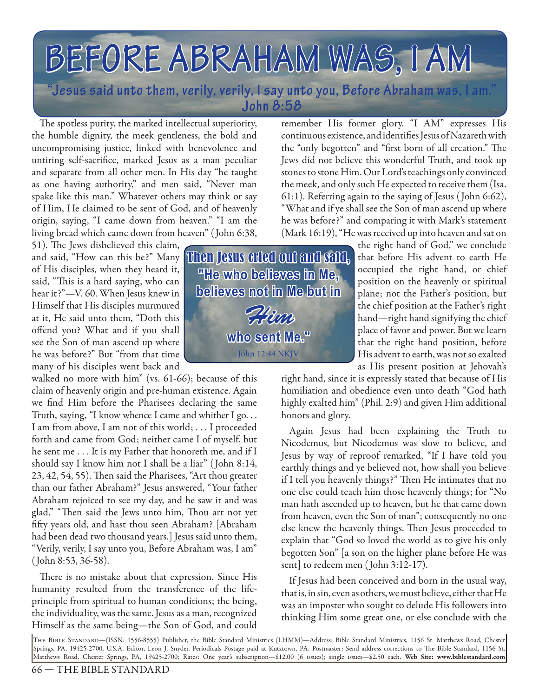# **BEFORE ABRAHAM WAS, I AM WAS,**

**"Jesus said unto them, verily, verily, I say unto you, Before Abraham was, I am." John 8:58**

The spotless purity, the marked intellectual superiority, the humble dignity, the meek gentleness, the bold and uncompromising justice, linked with benevolence and untiring self-sacrifice, marked Jesus as a man peculiar and separate from all other men. In His day "he taught as one having authority," and men said, "Never man spake like this man." Whatever others may think or say of Him, He claimed to be sent of God, and of heavenly origin, saying, "I came down from heaven." "I am the living bread which came down from heaven" ( John 6:38,

51). The Jews disbelieved this claim, of His disciples, when they heard it, said, "This is a hard saying, who can hear it?"—V. 60. When Jesus knew in Himself that His disciples murmured at it, He said unto them, "Doth this offend you? What and if you shall see the Son of man ascend up where he was before?" But "from that time many of his disciples went back and

walked no more with him" (vs. 61-66); because of this claim of heavenly origin and pre-human existence. Again we find Him before the Pharisees declaring the same Truth, saying, "I know whence I came and whither I go. . . I am from above, I am not of this world; . . . I proceeded forth and came from God; neither came I of myself, but he sent me . . . It is my Father that honoreth me, and if I should say I know him not I shall be a liar" ( John 8:14, 23, 42, 54, 55). Then said the Pharisees, "Art thou greater than our father Abraham?" Jesus answered, "Your father Abraham rejoiced to see my day, and he saw it and was glad." "Then said the Jews unto him, Thou art not yet fifty years old, and hast thou seen Abraham? [Abraham had been dead two thousand years.] Jesus said unto them, "Verily, verily, I say unto you, Before Abraham was, I am" ( John 8:53, 36-58).

There is no mistake about that expression. Since His humanity resulted from the transference of the lifeprinciple from spiritual to human conditions; the being, the individuality, was the same. Jesus as a man, recognized Himself as the same being—the Son of God, and could

and said, "How can this be?" Many **Then Jesus cried out and said,** "He who belleves in Me. **believes not in Me but in** who sent Me." John 12:44 NKJV Pham

remember His former glory. "I AM" expresses His continuous existence, and identifies Jesus of Nazareth with the "only begotten" and "first born of all creation." The Jews did not believe this wonderful Truth, and took up stones to stone Him. Our Lord's teachings only convinced the meek, and only such He expected to receive them (Isa. 61:1). Referring again to the saying of Jesus ( John 6:62), "What and if ye shall see the Son of man ascend up where he was before?" and comparing it with Mark's statement (Mark 16:19), "He was received up into heaven and sat on

the right hand of God," we conclude that before His advent to earth He occupied the right hand, or chief position on the heavenly or spiritual plane; not the Father's position, but the chief position at the Father's right hand—right hand signifying the chief place of favor and power. But we learn that the right hand position, before His advent to earth, was not so exalted as His present position at Jehovah's

right hand, since it is expressly stated that because of His humiliation and obedience even unto death "God hath highly exalted him" (Phil. 2:9) and given Him additional honors and glory.

Again Jesus had been explaining the Truth to Nicodemus, but Nicodemus was slow to believe, and Jesus by way of reproof remarked, "If I have told you earthly things and ye believed not, how shall you believe if I tell you heavenly things?" Then He intimates that no one else could teach him those heavenly things; for "No man hath ascended up to heaven, but he that came down from heaven, even the Son of man"; consequently no one else knew the heavenly things. Then Jesus proceeded to explain that "God so loved the world as to give his only begotten Son" [a son on the higher plane before He was sent] to redeem men (John 3:12-17).

If Jesus had been conceived and born in the usual way, that is, in sin, even as others, we must believe, either that He was an imposter who sought to delude His followers into thinking Him some great one, or else conclude with the

The Bible Standard—(ISSN: 1556-8555) Publisher, the Bible Standard Ministries (LHMM)—Address: Bible Standard Ministries, 1156 St. Matthews Road, Chester Springs, PA, 19425-2700, U.S.A. Editor, Leon J. Snyder. Periodicals Postage paid at Kutztown, PA. Postmaster: Send address corrections to Th e Bible Standard, 1156 St. Matthews Road, Chester Springs, PA, 19425-2700; Rates: One year's subscription—\$12.00 (6 issues); single issues—\$2.50 each. **Web Site: www.biblestandard.com**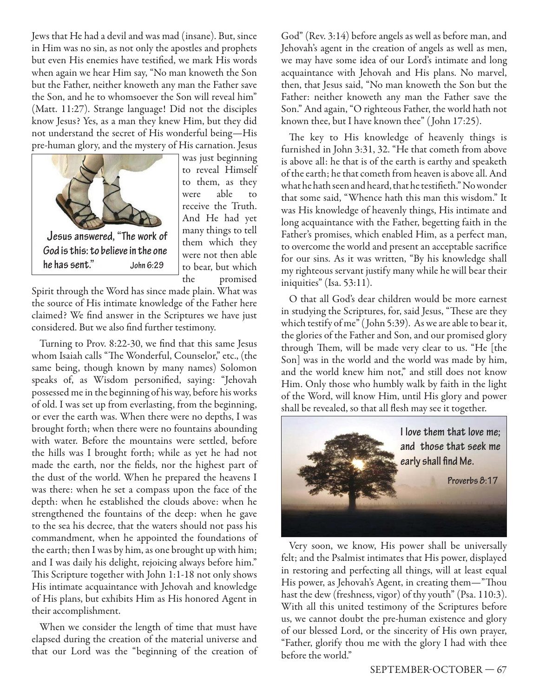Jews that He had a devil and was mad (insane). But, since in Him was no sin, as not only the apostles and prophets but even His enemies have testified, we mark His words when again we hear Him say, "No man knoweth the Son but the Father, neither knoweth any man the Father save the Son, and he to whomsoever the Son will reveal him" (Matt. 11:27). Strange language! Did not the disciples know Jesus? Yes, as a man they knew Him, but they did not understand the secret of His wonderful being—His pre-human glory, and the mystery of His carnation. Jesus



was just beginning to reveal Himself to them, as they were able to receive the Truth. And He had yet many things to tell them which they were not then able to bear, but which the promised

Spirit through the Word has since made plain. What was the source of His intimate knowledge of the Father here claimed? We find answer in the Scriptures we have just considered. But we also find further testimony.

Turning to Prov. 8:22-30, we find that this same Jesus whom Isaiah calls "The Wonderful, Counselor," etc., (the same being, though known by many names) Solomon speaks of, as Wisdom personified, saying: "Jehovah possessed me in the beginning of his way, before his works of old. I was set up from everlasting, from the beginning, or ever the earth was. When there were no depths, I was brought forth; when there were no fountains abounding with water. Before the mountains were settled, before the hills was I brought forth; while as yet he had not made the earth, nor the fields, nor the highest part of the dust of the world. When he prepared the heavens I was there: when he set a compass upon the face of the depth: when he established the clouds above: when he strengthened the fountains of the deep: when he gave to the sea his decree, that the waters should not pass his commandment, when he appointed the foundations of the earth; then I was by him, as one brought up with him; and I was daily his delight, rejoicing always before him." This Scripture together with John 1:1-18 not only shows His intimate acquaintance with Jehovah and knowledge of His plans, but exhibits Him as His honored Agent in their accomplishment.

When we consider the length of time that must have elapsed during the creation of the material universe and that our Lord was the "beginning of the creation of

God" (Rev. 3:14) before angels as well as before man, and Jehovah's agent in the creation of angels as well as men, we may have some idea of our Lord's intimate and long acquaintance with Jehovah and His plans. No marvel, then, that Jesus said, "No man knoweth the Son but the Father: neither knoweth any man the Father save the Son." And again, "O righteous Father, the world hath not known thee, but I have known thee" ( John 17:25).

The key to His knowledge of heavenly things is furnished in John 3:31, 32. "He that cometh from above is above all: he that is of the earth is earthy and speaketh of the earth; he that cometh from heaven is above all. And what he hath seen and heard, that he testifieth." No wonder that some said, "Whence hath this man this wisdom." It was His knowledge of heavenly things, His intimate and long acquaintance with the Father, begetting faith in the Father's promises, which enabled Him, as a perfect man, to overcome the world and present an acceptable sacrifice for our sins. As it was written, "By his knowledge shall my righteous servant justify many while he will bear their iniquities" (Isa. 53:11).

O that all God's dear children would be more earnest in studying the Scriptures, for, said Jesus, "These are they which testify of me" ( John 5:39). As we are able to bear it, the glories of the Father and Son, and our promised glory through Them, will be made very clear to us. "He [the Son] was in the world and the world was made by him, and the world knew him not," and still does not know Him. Only those who humbly walk by faith in the light of the Word, will know Him, until His glory and power shall be revealed, so that all flesh may see it together.



Very soon, we know, His power shall be universally felt; and the Psalmist intimates that His power, displayed in restoring and perfecting all things, will at least equal His power, as Jehovah's Agent, in creating them—"Thou hast the dew (freshness, vigor) of thy youth" (Psa. 110:3). With all this united testimony of the Scriptures before us, we cannot doubt the pre-human existence and glory of our blessed Lord, or the sincerity of His own prayer, "Father, glorify thou me with the glory I had with thee before the world."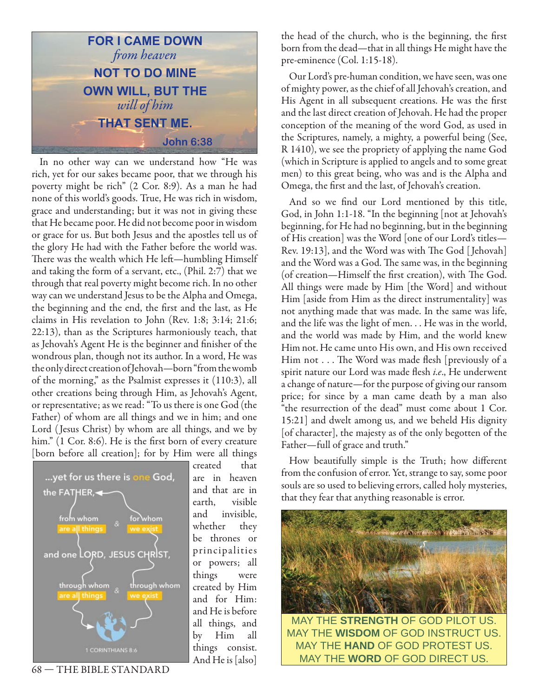

In no other way can we understand how "He was rich, yet for our sakes became poor, that we through his poverty might be rich" (2 Cor. 8:9). As a man he had none of this world's goods. True, He was rich in wisdom, grace and understanding; but it was not in giving these that He became poor. He did not become poor in wisdom or grace for us. But both Jesus and the apostles tell us of the glory He had with the Father before the world was. There was the wealth which He left-humbling Himself and taking the form of a servant, etc., (Phil. 2:7) that we through that real poverty might become rich. In no other way can we understand Jesus to be the Alpha and Omega, the beginning and the end, the first and the last, as He claims in His revelation to John (Rev. 1:8; 3:14; 21:6; 22:13), than as the Scriptures harmoniously teach, that as Jehovah's Agent He is the beginner and finisher of the wondrous plan, though not its author. In a word, He was the only direct creation of Jehovah—born "from the womb of the morning," as the Psalmist expresses it (110:3), all other creations being through Him, as Jehovah's Agent, or representative; as we read: "To us there is one God (the Father) of whom are all things and we in him; and one Lord ( Jesus Christ) by whom are all things, and we by him." (1 Cor. 8:6). He is the first born of every creature [born before all creation]; for by Him were all things



created that are in heaven and that are in earth, visible and invisible, whether they be thrones or principalities or powers; all things were created by Him and for Him: and He is before all things, and by Him all things consist. And He is [also]

the head of the church, who is the beginning, the first born from the dead—that in all things He might have the pre-eminence (Col. 1:15-18).

Our Lord's pre-human condition, we have seen, was one of mighty power, as the chief of all Jehovah's creation, and His Agent in all subsequent creations. He was the first and the last direct creation of Jehovah. He had the proper conception of the meaning of the word God, as used in the Scriptures, namely, a mighty, a powerful being (See, R 1410), we see the propriety of applying the name God (which in Scripture is applied to angels and to some great men) to this great being, who was and is the Alpha and Omega, the first and the last, of Jehovah's creation.

And so we find our Lord mentioned by this title, God, in John 1:1-18. "In the beginning [not at Jehovah's beginning, for He had no beginning, but in the beginning of His creation] was the Word [one of our Lord's titles— Rev. 19:13], and the Word was with The God [Jehovah] and the Word was a God. The same was, in the beginning (of creation—Himself the first creation), with The God. All things were made by Him [the Word] and without Him [aside from Him as the direct instrumentality] was not anything made that was made. In the same was life, and the life was the light of men. . . He was in the world, and the world was made by Him, and the world knew Him not. He came unto His own, and His own received Him not . . . The Word was made flesh [previously of a spirit nature our Lord was made flesh i.e., He underwent a change of nature—for the purpose of giving our ransom price; for since by a man came death by a man also "the resurrection of the dead" must come about 1 Cor. 15:21] and dwelt among us, and we beheld His dignity [of character], the majesty as of the only begotten of the Father—full of grace and truth."

How beautifully simple is the Truth; how different from the confusion of error. Yet, strange to say, some poor souls are so used to believing errors, called holy mysteries, that they fear that anything reasonable is error.



MAY THE **HAND** OF GOD PROTEST US. MAY THE **WORD** OF GOD DIRECT US.

68 — THE BIBLE STANDARD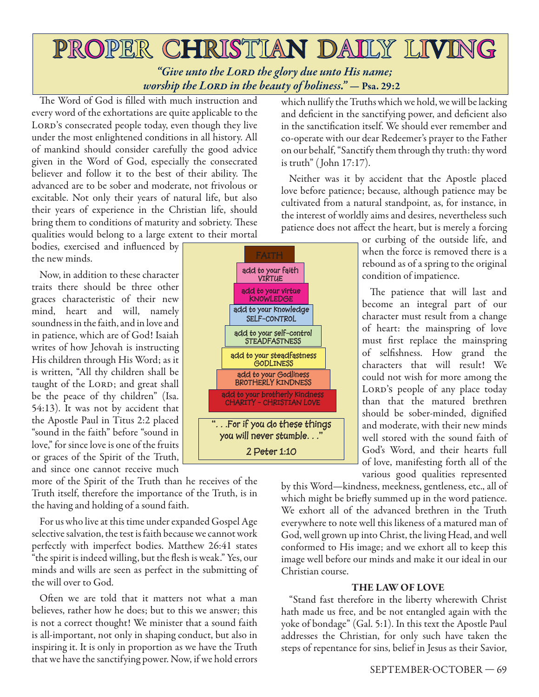# PROPER CHRISTIAN DAILY LIVING *"Give unto the Lord the glory due unto His name; worship the Lord in the beauty of holiness." —* **Psa. 29:2**

The Word of God is filled with much instruction and every word of the exhortations are quite applicable to the LORD's consecrated people today, even though they live under the most enlightened conditions in all history. All of mankind should consider carefully the good advice given in the Word of God, especially the consecrated believer and follow it to the best of their ability. The advanced are to be sober and moderate, not frivolous or excitable. Not only their years of natural life, but also their years of experience in the Christian life, should bring them to conditions of maturity and sobriety. These qualities would belong to a large extent to their mortal

bodies, exercised and influenced by the new minds.

Now, in addition to these character traits there should be three other graces characteristic of their new mind, heart and will, namely soundness in the faith, and in love and in patience, which are of God! Isaiah writes of how Jehovah is instructing His children through His Word; as it is written, "All thy children shall be taught of the LORD; and great shall be the peace of thy children" (Isa. 54:13). It was not by accident that the Apostle Paul in Titus 2:2 placed "sound in the faith" before "sound in love," for since love is one of the fruits or graces of the Spirit of the Truth, and since one cannot receive much

more of the Spirit of the Truth than he receives of the Truth itself, therefore the importance of the Truth, is in the having and holding of a sound faith.

For us who live at this time under expanded Gospel Age selective salvation, the test is faith because we cannot work perfectly with imperfect bodies. Matthew 26:41 states "the spirit is indeed willing, but the flesh is weak." Yes, our minds and wills are seen as perfect in the submitting of the will over to God.

Often we are told that it matters not what a man believes, rather how he does; but to this we answer; this is not a correct thought! We minister that a sound faith is all-important, not only in shaping conduct, but also in inspiring it. It is only in proportion as we have the Truth that we have the sanctifying power. Now, if we hold errors which nullify the Truths which we hold, we will be lacking and deficient in the sanctifying power, and deficient also in the sanctification itself. We should ever remember and co-operate with our dear Redeemer's prayer to the Father on our behalf, "Sanctify them through thy truth: thy word is truth" ( John 17:17).

Neither was it by accident that the Apostle placed love before patience; because, although patience may be cultivated from a natural standpoint, as, for instance, in the interest of worldly aims and desires, nevertheless such patience does not affect the heart, but is merely a forcing

> or curbing of the outside life, and when the force is removed there is a rebound as of a spring to the original condition of impatience.

> The patience that will last and become an integral part of our character must result from a change of heart: the mainspring of love must first replace the mainspring of selfishness. How grand the characters that will result! We could not wish for more among the LORD's people of any place today than that the matured brethren should be sober-minded, dignified and moderate, with their new minds well stored with the sound faith of God's Word, and their hearts full of love, manifesting forth all of the various good qualities represented

by this Word—kindness, meekness, gentleness, etc., all of which might be briefly summed up in the word patience. We exhort all of the advanced brethren in the Truth everywhere to note well this likeness of a matured man of God, well grown up into Christ, the living Head, and well conformed to His image; and we exhort all to keep this image well before our minds and make it our ideal in our Christian course.

#### **THE LAW OF LOVE**

"Stand fast therefore in the liberty wherewith Christ hath made us free, and be not entangled again with the yoke of bondage" (Gal. 5:1). In this text the Apostle Paul addresses the Christian, for only such have taken the steps of repentance for sins, belief in Jesus as their Savior,

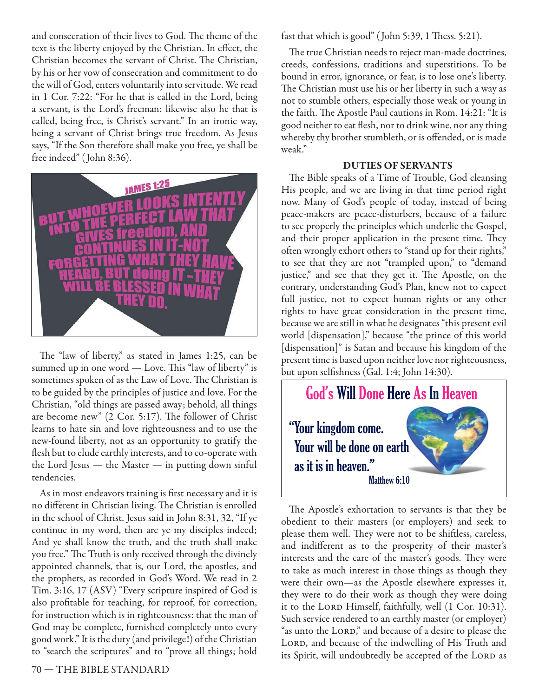and consecration of their lives to God. The theme of the text is the liberty enjoyed by the Christian. In effect, the Christian becomes the servant of Christ. The Christian, by his or her vow of consecration and commitment to do the will of God, enters voluntarily into servitude. We read in 1 Cor. 7:22: "For he that is called in the Lord, being a servant, is the Lord's freeman: likewise also he that is called, being free, is Christ's servant." In an ironic way, being a servant of Christ brings true freedom. As Jesus says, "If the Son therefore shall make you free, ye shall be free indeed" ( John 8:36).



The "law of liberty," as stated in James  $1:25$ , can be summed up in one word — Love. This "law of liberty" is sometimes spoken of as the Law of Love. The Christian is to be guided by the principles of justice and love. For the Christian, "old things are passed away; behold, all things are become new"  $(2 \text{ Cor. } 5:17)$ . The follower of Christ learns to hate sin and love righteousness and to use the new-found liberty, not as an opportunity to gratify the flesh but to elude earthly interests, and to co-operate with the Lord Jesus — the Master — in putting down sinful tendencies.

As in most endeavors training is first necessary and it is no different in Christian living. The Christian is enrolled in the school of Christ. Jesus said in John 8:31, 32, "If ye continue in my word, then are ye my disciples indeed; And ye shall know the truth, and the truth shall make you free." The Truth is only received through the divinely appointed channels, that is, our Lord, the apostles, and the prophets, as recorded in God's Word. We read in 2 Tim. 3:16, 17 (ASV) "Every scripture inspired of God is also profitable for teaching, for reproof, for correction, for instruction which is in righteousness: that the man of God may be complete, furnished completely unto every good work." It is the duty (and privilege!) of the Christian to "search the scriptures" and to "prove all things; hold

fast that which is good" (John 5:39, 1 Thess. 5:21).

The true Christian needs to reject man-made doctrines, creeds, confessions, traditions and superstitions. To be bound in error, ignorance, or fear, is to lose one's liberty. The Christian must use his or her liberty in such a way as not to stumble others, especially those weak or young in the faith. The Apostle Paul cautions in Rom. 14:21: "It is good neither to eat flesh, nor to drink wine, nor any thing whereby thy brother stumbleth, or is offended, or is made weak."

#### **DUTIES OF SERVANTS**

The Bible speaks of a Time of Trouble, God cleansing His people, and we are living in that time period right now. Many of God's people of today, instead of being peace-makers are peace-disturbers, because of a failure to see properly the principles which underlie the Gospel, and their proper application in the present time. They often wrongly exhort others to "stand up for their rights," to see that they are not "trampled upon," to "demand justice," and see that they get it. The Apostle, on the contrary, understanding God's Plan, knew not to expect full justice, not to expect human rights or any other rights to have great consideration in the present time, because we are still in what he designates "this present evil world [dispensation]," because "the prince of this world [dispensation]" is Satan and because his kingdom of the present time is based upon neither love nor righteousness, but upon selfishness (Gal. 1:4; John 14:30).



The Apostle's exhortation to servants is that they be obedient to their masters (or employers) and seek to please them well. They were not to be shiftless, careless, and indifferent as to the prosperity of their master's interests and the care of the master's goods. They were to take as much interest in those things as though they were their own—as the Apostle elsewhere expresses it, they were to do their work as though they were doing it to the LORD Himself, faithfully, well (1 Cor. 10:31). Such service rendered to an earthly master (or employer) "as unto the LORD," and because of a desire to please the LORD, and because of the indwelling of His Truth and its Spirit, will undoubtedly be accepted of the LORD as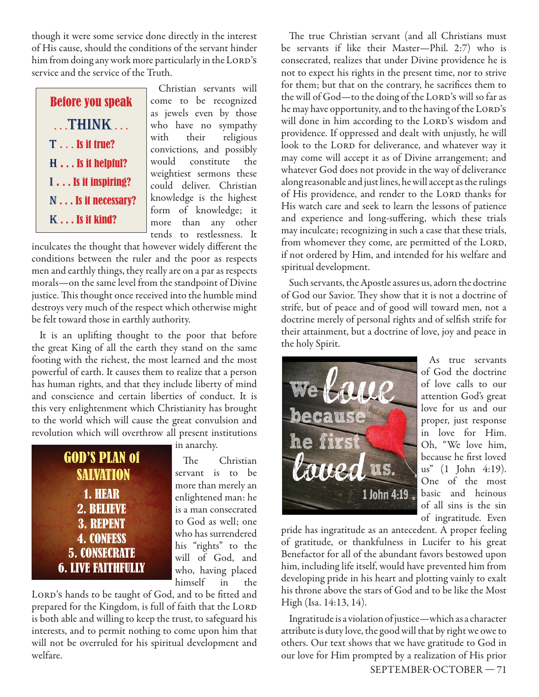though it were some service done directly in the interest of His cause, should the conditions of the servant hinder him from doing any work more particularly in the LORD's service and the service of the Truth.

| <b>Before you speak</b>     |
|-----------------------------|
| THINK                       |
| $T \ldots Is$ it true?      |
| $H \ldots Is$ it helpful?   |
| $I \ldots Is$ it inspiring? |
| N Is it necessary?          |
| $K \dots$ is it kind?       |

Christian servants will come to be recognized as jewels even by those who have no sympathy with their religious convictions, and possibly would constitute the weightiest sermons these could deliver. Christian knowledge is the highest form of knowledge; it more than any other tends to restlessness. It

inculcates the thought that however widely different the conditions between the ruler and the poor as respects men and earthly things, they really are on a par as respects morals—on the same level from the standpoint of Divine justice. This thought once received into the humble mind destroys very much of the respect which otherwise might be felt toward those in earthly authority.

It is an uplifting thought to the poor that before the great King of all the earth they stand on the same footing with the richest, the most learned and the most powerful of earth. It causes them to realize that a person has human rights, and that they include liberty of mind and conscience and certain liberties of conduct. It is this very enlightenment which Christianity has brought to the world which will cause the great convulsion and revolution which will overthrow all present institutions



in anarchy.

The Christian servant is to be more than merely an enlightened man: he is a man consecrated to God as well; one who has surrendered his "rights" to the will of God, and who, having placed himself in the

LORD's hands to be taught of God, and to be fitted and prepared for the Kingdom, is full of faith that the LORD is both able and willing to keep the trust, to safeguard his interests, and to permit nothing to come upon him that will not be overruled for his spiritual development and welfare.

The true Christian servant (and all Christians must be servants if like their Master—Phil. 2:7) who is consecrated, realizes that under Divine providence he is not to expect his rights in the present time, nor to strive for them; but that on the contrary, he sacrifices them to the will of God—to the doing of the LORD's will so far as he may have opportunity, and to the having of the LORD's will done in him according to the LORD's wisdom and providence. If oppressed and dealt with unjustly, he will look to the LORD for deliverance, and whatever way it may come will accept it as of Divine arrangement; and whatever God does not provide in the way of deliverance along reasonable and just lines, he will accept as the rulings of His providence, and render to the LORD thanks for His watch care and seek to learn the lessons of patience and experience and long-suffering, which these trials may inculcate; recognizing in such a case that these trials, from whomever they come, are permitted of the LORD, if not ordered by Him, and intended for his welfare and spiritual development.

Such servants, the Apostle assures us, adorn the doctrine of God our Savior. They show that it is not a doctrine of strife, but of peace and of good will toward men, not a doctrine merely of personal rights and of selfish strife for their attainment, but a doctrine of love, joy and peace in the holy Spirit.



As true servants of God the doctrine of love calls to our attention God's great love for us and our proper, just response in love for Him. Oh, "We love him, because he first loved us" (1 John 4:19). One of the most basic and heinous of all sins is the sin of ingratitude. Even

pride has ingratitude as an antecedent. A proper feeling of gratitude, or thankfulness in Lucifer to his great Benefactor for all of the abundant favors bestowed upon him, including life itself, would have prevented him from developing pride in his heart and plotting vainly to exalt his throne above the stars of God and to be like the Most High (Isa. 14:13, 14).

SEPTEMBER-OCTOBER — 71 Ingratitude is a violation of justice—which as a character attribute is duty love, the good will that by right we owe to others. Our text shows that we have gratitude to God in our love for Him prompted by a realization of His prior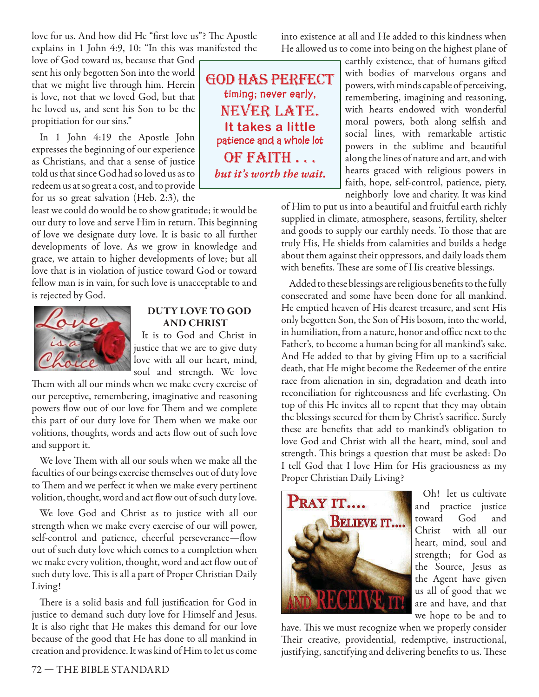love for us. And how did He "first love us"? The Apostle explains in 1 John 4:9, 10: "In this was manifested the

love of God toward us, because that God sent his only begotten Son into the world that we might live through him. Herein is love, not that we loved God, but that he loved us, and sent his Son to be the propitiation for our sins."

In 1 John 4:19 the Apostle John expresses the beginning of our experience as Christians, and that a sense of justice told us that since God had so loved us as to redeem us at so great a cost, and to provide for us so great salvation (Heb. 2:3), the

least we could do would be to show gratitude; it would be our duty to love and serve Him in return. This beginning of love we designate duty love. It is basic to all further developments of love. As we grow in knowledge and grace, we attain to higher developments of love; but all love that is in violation of justice toward God or toward fellow man is in vain, for such love is unacceptable to and is rejected by God.



#### **DUTY LOVE TO GOD AND CHRIST**

It is to God and Christ in justice that we are to give duty love with all our heart, mind, soul and strength. We love

Them with all our minds when we make every exercise of our perceptive, remembering, imaginative and reasoning powers flow out of our love for Them and we complete this part of our duty love for Them when we make our volitions, thoughts, words and acts flow out of such love and support it.

We love Them with all our souls when we make all the faculties of our beings exercise themselves out of duty love to Them and we perfect it when we make every pertinent volition, thought, word and act flow out of such duty love.

We love God and Christ as to justice with all our strength when we make every exercise of our will power, self-control and patience, cheerful perseverance—flow out of such duty love which comes to a completion when we make every volition, thought, word and act flow out of such duty love. This is all a part of Proper Christian Daily Living!

There is a solid basis and full justification for God in justice to demand such duty love for Himself and Jesus. It is also right that He makes this demand for our love because of the good that He has done to all mankind in creation and providence. It was kind of Him to let us come

god has perfect **timing; never early,**  never late. **It takes a little patience and a whole lot**  of faith . . . *but it's worth the wait.*

into existence at all and He added to this kindness when He allowed us to come into being on the highest plane of

earthly existence, that of humans gifted with bodies of marvelous organs and powers, with minds capable of perceiving, remembering, imagining and reasoning, with hearts endowed with wonderful moral powers, both along selfish and social lines, with remarkable artistic powers in the sublime and beautiful along the lines of nature and art, and with hearts graced with religious powers in faith, hope, self-control, patience, piety, neighborly love and charity. It was kind

of Him to put us into a beautiful and fruitful earth richly supplied in climate, atmosphere, seasons, fertility, shelter and goods to supply our earthly needs. To those that are truly His, He shields from calamities and builds a hedge about them against their oppressors, and daily loads them with benefits. These are some of His creative blessings.

Added to these blessings are religious benefits to the fully consecrated and some have been done for all mankind. He emptied heaven of His dearest treasure, and sent His only begotten Son, the Son of His bosom, into the world, in humiliation, from a nature, honor and office next to the Father's, to become a human being for all mankind's sake. And He added to that by giving Him up to a sacrificial death, that He might become the Redeemer of the entire race from alienation in sin, degradation and death into reconciliation for righteousness and life everlasting. On top of this He invites all to repent that they may obtain the blessings secured for them by Christ's sacrifice. Surely these are benefits that add to mankind's obligation to love God and Christ with all the heart, mind, soul and strength. This brings a question that must be asked: Do I tell God that I love Him for His graciousness as my Proper Christian Daily Living?



Oh! let us cultivate and practice justice toward God and Christ with all our heart, mind, soul and strength; for God as the Source, Jesus as the Agent have given us all of good that we are and have, and that we hope to be and to

have. This we must recognize when we properly consider Their creative, providential, redemptive, instructional, justifying, sanctifying and delivering benefits to us. These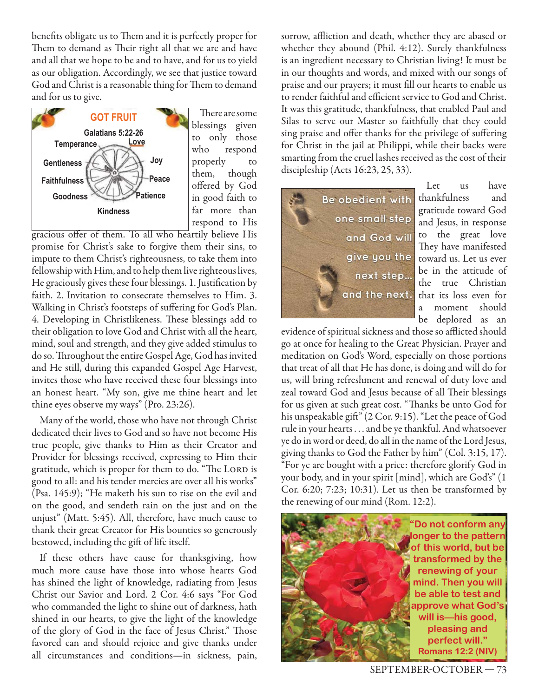benefits obligate us to Them and it is perfectly proper for Them to demand as Their right all that we are and have and all that we hope to be and to have, and for us to yield as our obligation. Accordingly, we see that justice toward God and Christ is a reasonable thing for Them to demand and for us to give.



There are some blessings given to only those who respond properly to them, though offered by God in good faith to far more than respond to His

gracious offer of them. To all who heartily believe His promise for Christ's sake to forgive them their sins, to impute to them Christ's righteousness, to take them into fellowship with Him, and to help them live righteous lives, He graciously gives these four blessings. 1. Justification by faith. 2. Invitation to consecrate themselves to Him. 3. Walking in Christ's footsteps of suffering for God's Plan. 4. Developing in Christlikeness. These blessings add to their obligation to love God and Christ with all the heart, mind, soul and strength, and they give added stimulus to do so. Throughout the entire Gospel Age, God has invited and He still, during this expanded Gospel Age Harvest, invites those who have received these four blessings into an honest heart. "My son, give me thine heart and let thine eyes observe my ways" (Pro. 23:26).

Many of the world, those who have not through Christ dedicated their lives to God and so have not become His true people, give thanks to Him as their Creator and Provider for blessings received, expressing to Him their gratitude, which is proper for them to do. "The LORD is good to all: and his tender mercies are over all his works" (Psa. 145:9); "He maketh his sun to rise on the evil and on the good, and sendeth rain on the just and on the unjust" (Matt. 5:45). All, therefore, have much cause to thank their great Creator for His bounties so generously bestowed, including the gift of life itself.

If these others have cause for thanksgiving, how much more cause have those into whose hearts God has shined the light of knowledge, radiating from Jesus Christ our Savior and Lord. 2 Cor. 4:6 says "For God who commanded the light to shine out of darkness, hath shined in our hearts, to give the light of the knowledge of the glory of God in the face of Jesus Christ." Those favored can and should rejoice and give thanks under all circumstances and conditions—in sickness, pain,

sorrow, affliction and death, whether they are abased or whether they abound (Phil. 4:12). Surely thankfulness is an ingredient necessary to Christian living! It must be in our thoughts and words, and mixed with our songs of praise and our prayers; it must fill our hearts to enable us to render faithful and efficient service to God and Christ. It was this gratitude, thankfulness, that enabled Paul and Silas to serve our Master so faithfully that they could sing praise and offer thanks for the privilege of suffering for Christ in the jail at Philippi, while their backs were smarting from the cruel lashes received as the cost of their discipleship (Acts 16:23, 25, 33).



Let us have thankfulness and gratitude toward God and Jesus, in response to the great love They have manifested toward us. Let us ever be in the attitude of the true Christian that its loss even for a moment should be deplored as an

evidence of spiritual sickness and those so afflicted should go at once for healing to the Great Physician. Prayer and meditation on God's Word, especially on those portions that treat of all that He has done, is doing and will do for us, will bring refreshment and renewal of duty love and zeal toward God and Jesus because of all Their blessings for us given at such great cost. "Thanks be unto God for his unspeakable gift" (2 Cor. 9:15). "Let the peace of God rule in your hearts . . . and be ye thankful. And whatsoever ye do in word or deed, do all in the name of the Lord Jesus, giving thanks to God the Father by him" (Col. 3:15, 17). "For ye are bought with a price: therefore glorify God in your body, and in your spirit [mind], which are God's" (1 Cor. 6:20; 7:23; 10:31). Let us then be transformed by the renewing of our mind (Rom. 12:2).

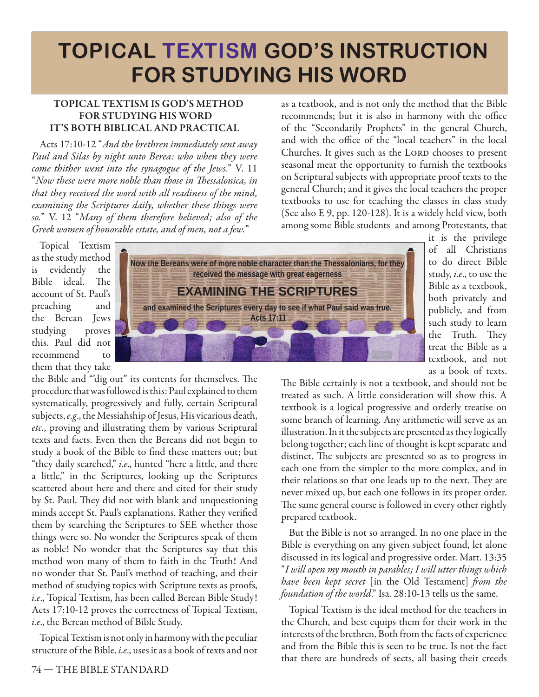# **TOPICAL TEXTISM GOD'S INSTRUCTION FOR STUDYING HIS WORD**

#### **TOPICAL TEXTISM IS GOD'S METHOD FOR STUDYING HIS WORD IT'S BOTH BIBLICAL AND PRACTICAL**

Acts 17:10-12 "And the brethren immediately sent away Paul and Silas by night unto Berea: who when they were come thither went into the synagogue of the Jews." V. 11 "Now these were more noble than those in Thessalonica, in that they received the word with all readiness of the mind, examining the Scriptures daily, whether these things were so." V. 12 "Many of them therefore believed; also of the Greek women of honorable estate, and of men, not a few."

as a textbook, and is not only the method that the Bible recommends; but it is also in harmony with the office of the "Secondarily Prophets" in the general Church, and with the office of the "local teachers" in the local Churches. It gives such as the LORD chooses to present seasonal meat the opportunity to furnish the textbooks on Scriptural subjects with appropriate proof texts to the general Church; and it gives the local teachers the proper textbooks to use for teaching the classes in class study (See also E 9, pp. 120-128). It is a widely held view, both among some Bible students and among Protestants, that

Topical Textism as the study method is evidently the Bible ideal. The account of St. Paul's preaching and the Berean Jews studying proves this. Paul did not recommend to them that they take

the Bible and "dig out" its contents for themselves. The procedure that was followed is this: Paul explained to them systematically, progressively and fully, certain Scriptural subjects, e.g., the Messiahship of Jesus, His vicarious death, etc., proving and illustrating them by various Scriptural texts and facts. Even then the Bereans did not begin to study a book of the Bible to find these matters out; but "they daily searched," i.e., hunted "here a little, and there a little," in the Scriptures, looking up the Scriptures scattered about here and there and cited for their study by St. Paul. They did not with blank and unquestioning minds accept St. Paul's explanations. Rather they verified them by searching the Scriptures to SEE whether those things were so. No wonder the Scriptures speak of them as noble! No wonder that the Scriptures say that this method won many of them to faith in the Truth! And no wonder that St. Paul's method of teaching, and their method of studying topics with Scripture texts as proofs, i.e., Topical Textism, has been called Berean Bible Study! Acts 17:10-12 proves the correctness of Topical Textism, i.e., the Berean method of Bible Study.

Topical Textism is not only in harmony with the peculiar structure of the Bible, i.e., uses it as a book of texts and not



it is the privilege of all Christians to do direct Bible study, i.e., to use the Bible as a textbook, both privately and publicly, and from such study to learn the Truth. They treat the Bible as a textbook, and not as a book of texts.

The Bible certainly is not a textbook, and should not be treated as such. A little consideration will show this. A textbook is a logical progressive and orderly treatise on some branch of learning. Any arithmetic will serve as an illustration. In it the subjects are presented as they logically belong together; each line of thought is kept separate and distinct. The subjects are presented so as to progress in each one from the simpler to the more complex, and in their relations so that one leads up to the next. They are never mixed up, but each one follows in its proper order. The same general course is followed in every other rightly prepared textbook.

But the Bible is not so arranged. In no one place in the Bible is everything on any given subject found, let alone discussed in its logical and progressive order. Matt. 13:35 "I will open my mouth in parables; I will utter things which have been kept secret [in the Old Testament] from the foundation of the world." Isa. 28:10-13 tells us the same.

Topical Textism is the ideal method for the teachers in the Church, and best equips them for their work in the interests of the brethren. Both from the facts of experience and from the Bible this is seen to be true. Is not the fact that there are hundreds of sects, all basing their creeds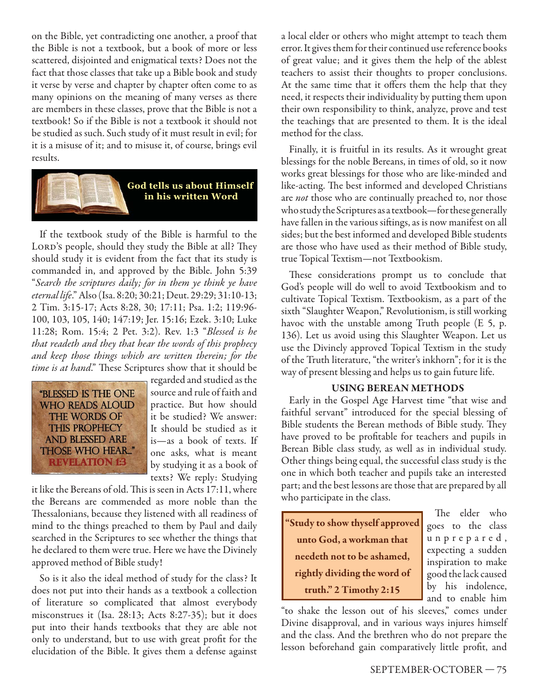on the Bible, yet contradicting one another, a proof that the Bible is not a textbook, but a book of more or less scattered, disjointed and enigmatical texts? Does not the fact that those classes that take up a Bible book and study it verse by verse and chapter by chapter often come to as many opinions on the meaning of many verses as there are members in these classes, prove that the Bible is not a textbook! So if the Bible is not a textbook it should not be studied as such. Such study of it must result in evil; for it is a misuse of it; and to misuse it, of course, brings evil results.



If the textbook study of the Bible is harmful to the LORD's people, should they study the Bible at all? They should study it is evident from the fact that its study is commanded in, and approved by the Bible. John 5:39 "Search the scriptures daily; for in them ye think ye have eternal life." Also (Isa. 8:20; 30:21; Deut. 29:29; 31:10-13; 2 Tim. 3:15-17; Acts 8:28, 30; 17:11; Psa. 1:2; 119:96- 100, 103, 105, 140; 147:19; Jer. 15:16; Ezek. 3:10; Luke 11:28; Rom. 15:4; 2 Pet. 3:2). Rev. 1:3 "Blessed is he that readeth and they that hear the words of this prophecy and keep those things which are written therein; for the time is at hand." These Scriptures show that it should be



regarded and studied as the source and rule of faith and practice. But how should it be studied? We answer: It should be studied as it is—as a book of texts. If one asks, what is meant by studying it as a book of texts? We reply: Studying

it like the Bereans of old. This is seen in Acts 17:11, where the Bereans are commended as more noble than the Thessalonians, because they listened with all readiness of mind to the things preached to them by Paul and daily searched in the Scriptures to see whether the things that he declared to them were true. Here we have the Divinely approved method of Bible study!

So is it also the ideal method of study for the class? It does not put into their hands as a textbook a collection of literature so complicated that almost everybody misconstrues it (Isa. 28:13; Acts 8:27-35); but it does put into their hands textbooks that they are able not only to understand, but to use with great profit for the elucidation of the Bible. It gives them a defense against a local elder or others who might attempt to teach them error. It gives them for their continued use reference books of great value; and it gives them the help of the ablest teachers to assist their thoughts to proper conclusions. At the same time that it offers them the help that they need, it respects their individuality by putting them upon their own responsibility to think, analyze, prove and test the teachings that are presented to them. It is the ideal method for the class.

Finally, it is fruitful in its results. As it wrought great blessings for the noble Bereans, in times of old, so it now works great blessings for those who are like-minded and like-acting. The best informed and developed Christians are *not* those who are continually preached to, nor those who study the Scriptures as a textbook—for these generally have fallen in the various siftings, as is now manifest on all sides; but the best informed and developed Bible students are those who have used as their method of Bible study, true Topical Textism—not Textbookism.

These considerations prompt us to conclude that God's people will do well to avoid Textbookism and to cultivate Topical Textism. Textbookism, as a part of the sixth "Slaughter Weapon," Revolutionism, is still working havoc with the unstable among Truth people (E 5, p. 136). Let us avoid using this Slaughter Weapon. Let us use the Divinely approved Topical Textism in the study of the Truth literature, "the writer's inkhorn"; for it is the way of present blessing and helps us to gain future life.

#### **USING BEREAN METHODS**

Early in the Gospel Age Harvest time "that wise and faithful servant" introduced for the special blessing of Bible students the Berean methods of Bible study. They have proved to be profitable for teachers and pupils in Berean Bible class study, as well as in individual study. Other things being equal, the successful class study is the one in which both teacher and pupils take an interested part; and the best lessons are those that are prepared by all who participate in the class.

**"Study to show thyself approved unto God, a workman that needeth not to be ashamed, rightly dividing the word of truth." 2 Timothy 2:15**

The elder who goes to the class u n p r e p a r e d , expecting a sudden inspiration to make good the lack caused by his indolence, and to enable him

"to shake the lesson out of his sleeves," comes under Divine disapproval, and in various ways injures himself and the class. And the brethren who do not prepare the lesson beforehand gain comparatively little profit, and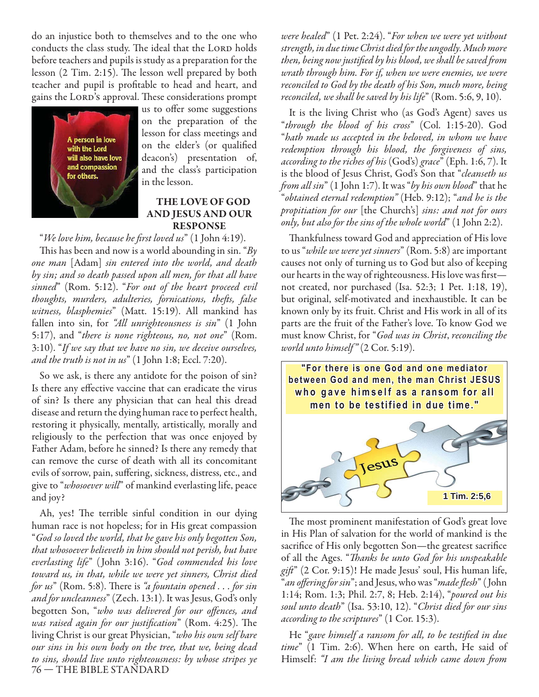do an injustice both to themselves and to the one who conducts the class study. The ideal that the LORD holds before teachers and pupils is study as a preparation for the lesson  $(2$  Tim. 2:15). The lesson well prepared by both teacher and pupil is profitable to head and heart, and gains the LORD's approval. These considerations prompt



us to offer some suggestions on the preparation of the lesson for class meetings and on the elder's (or qualified deacon's) presentation of, and the class's participation in the lesson.

#### **THE LOVE OF GOD AND JESUS AND OUR RESPONSE**

"We love him, because he first loved us" (1 John 4:19). This has been and now is a world abounding in sin. " $By$ one man [Adam] sin entered into the world, and death by sin; and so death passed upon all men, for that all have sinned" (Rom. 5:12). "For out of the heart proceed evil thoughts, murders, adulteries, fornications, thefts, false witness, blasphemies" (Matt. 15:19). All mankind has fallen into sin, for "All unrighteousness is sin" (1 John 5:17), and "there is none righteous, no, not one" (Rom. 3:10). "If we say that we have no sin, we deceive ourselves, and the truth is not in us"  $(1$  John 1:8; Eccl. 7:20).

So we ask, is there any antidote for the poison of sin? Is there any effective vaccine that can eradicate the virus of sin? Is there any physician that can heal this dread disease and return the dying human race to perfect health, restoring it physically, mentally, artistically, morally and religiously to the perfection that was once enjoyed by Father Adam, before he sinned? Is there any remedy that can remove the curse of death with all its concomitant evils of sorrow, pain, suffering, sickness, distress, etc., and give to "whosoever will" of mankind everlasting life, peace and joy?

76 — THE BIBLE STANDARD Ah, yes! The terrible sinful condition in our dying human race is not hopeless; for in His great compassion "God so loved the world, that he gave his only begotten Son, that whosoever believeth in him should not perish, but have everlasting life" ( John 3:16). "God commended his love toward us, in that, while we were yet sinners, Christ died for  $us$ " (Rom. 5:8). There is "a fountain opened  $\ldots$  for sin and for uncleanness" (Zech. 13:1). It was Jesus, God's only begotten Son, "who was delivered for our offences, and was raised again for our justification" (Rom. 4:25). The living Christ is our great Physician, "who his own self bare our sins in his own body on the tree, that we, being dead to sins, should live unto righteousness: by whose stripes ye

were healed" (1 Pet. 2:24). "For when we were yet without strength, in due time Christ died for the ungodly. Much more then, being now justified by his blood, we shall be saved from wrath through him. For if, when we were enemies, we were reconciled to God by the death of his Son, much more, being reconciled, we shall be saved by his life" (Rom. 5:6, 9, 10).

It is the living Christ who (as God's Agent) saves us "through the blood of his cross" (Col. 1:15-20). God "hath made us accepted in the beloved, in whom we have redemption through his blood, the forgiveness of sins, according to the riches of his (God's) grace" (Eph. 1:6, 7). It is the blood of Jesus Christ, God's Son that "cleanseth us from all sin" (1 John 1:7). It was "by his own blood" that he "obtained eternal redemption" (Heb. 9:12); "and he is the propitiation for our [the Church's] sins: and not for ours only, but also for the sins of the whole world" (1 John 2:2).

Thankfulness toward God and appreciation of His love to us "*while we were yet sinners*" (Rom. 5:8) are important causes not only of turning us to God but also of keeping our hearts in the way of righteousness. His love was firstnot created, nor purchased (Isa. 52:3; 1 Pet. 1:18, 19), but original, self-motivated and inexhaustible. It can be known only by its fruit. Christ and His work in all of its parts are the fruit of the Father's love. To know God we must know Christ, for "God was in Christ, reconciling the world unto himself"  $(2 \text{Cor. } 5:19)$ .



The most prominent manifestation of God's great love in His Plan of salvation for the world of mankind is the sacrifice of His only begotten Son—the greatest sacrifice of all the Ages. "Thanks be unto God for his unspeakable  $gif'$  (2 Cor. 9:15)! He made Jesus' soul, His human life, "*an offering for sin*"; and Jesus, who was "*made flesh*" (John 1:14; Rom. 1:3; Phil. 2:7, 8; Heb. 2:14), "poured out his soul unto death" (Isa. 53:10, 12). "Christ died for our sins according to the scriptures" (1 Cor. 15:3).

He "gave himself a ransom for all, to be testified in due time" (1 Tim. 2:6). When here on earth, He said of Himself: "I am the living bread which came down from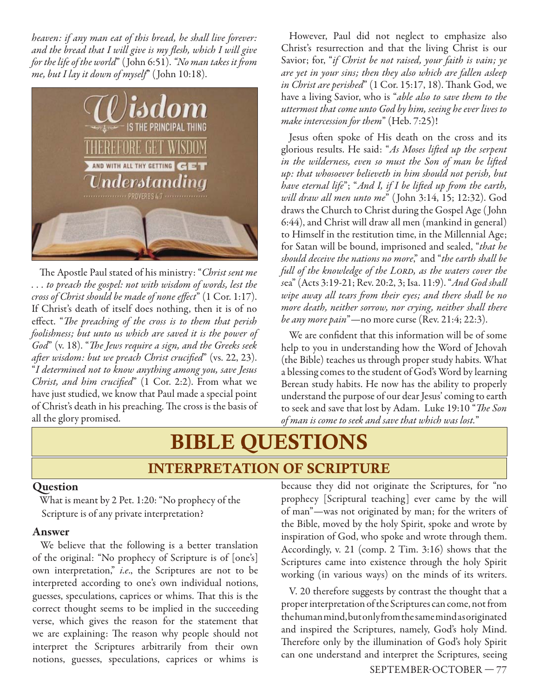heaven: if any man eat of this bread, he shall live forever: and the bread that I will give is my flesh, which I will give for the life of the world" (John 6:51). "No man takes it from me, but I lay it down of myself" (John 10:18).



The Apostle Paul stated of his ministry: "Christ sent me . . . to preach the gospel: not with wisdom of words, lest the  $\emph{cross of Christ should be made of none effect}$ " (1 Cor. 1:17). If Christ's death of itself does nothing, then it is of no effect. "The preaching of the cross is to them that perish foolishness; but unto us which are saved it is the power of  $\sigma$ God" (v. 18). "The Jews require a sign, and the Greeks seek after wisdom: but we preach Christ crucified" (vs. 22, 23). "I determined not to know anything among you, save Jesus Christ, and him crucified"  $(1 \text{ Cor. 2:2}).$  From what we have just studied, we know that Paul made a special point of Christ's death in his preaching. The cross is the basis of all the glory promised.

However, Paul did not neglect to emphasize also Christ's resurrection and that the living Christ is our Savior; for, "if Christ be not raised, your faith is vain; ye are yet in your sins; then they also which are fallen asleep in Christ are perished" (1 Cor. 15:17, 18). Thank God, we have a living Savior, who is "able also to save them to the uttermost that come unto God by him, seeing he ever lives to make intercession for them" (Heb. 7:25)!

Jesus often spoke of His death on the cross and its glorious results. He said: "As Moses lifted up the serpent in the wilderness, even so must the Son of man be lifted up: that whosoever believeth in him should not perish, but have eternal life"; "And I, if I be lifted up from the earth, will draw all men unto me" ( John 3:14, 15; 12:32). God draws the Church to Christ during the Gospel Age ( John 6:44), and Christ will draw all men (mankind in general) to Himself in the restitution time, in the Millennial Age; for Satan will be bound, imprisoned and sealed, "that he should deceive the nations no more," and "the earth shall be full of the knowledge of the LORD, as the waters cover the sea" (Acts 3:19-21; Rev. 20:2, 3; Isa. 11:9). "And God shall wipe away all tears from their eyes; and there shall be no more death, neither sorrow, nor crying, neither shall there be any more pain"—no more curse (Rev. 21:4; 22:3).

We are confident that this information will be of some help to you in understanding how the Word of Jehovah (the Bible) teaches us through proper study habits. What a blessing comes to the student of God's Word by learning Berean study habits. He now has the ability to properly understand the purpose of our dear Jesus' coming to earth to seek and save that lost by Adam. Luke 19:10 "The Son of man is come to seek and save that which was lost."

# BIBLE QUESTIONS INTERPRETATION OF SCRIPTURE

#### **Question**

 What is meant by 2 Pet. 1:20: "No prophecy of the Scripture is of any private interpretation?

#### **Answer**

We believe that the following is a better translation of the original: "No prophecy of Scripture is of [one's] own interpretation," i.e., the Scriptures are not to be interpreted according to one's own individual notions, guesses, speculations, caprices or whims. That this is the correct thought seems to be implied in the succeeding verse, which gives the reason for the statement that we are explaining: The reason why people should not interpret the Scriptures arbitrarily from their own notions, guesses, speculations, caprices or whims is

because they did not originate the Scriptures, for "no prophecy [Scriptural teaching] ever came by the will of man"—was not originated by man; for the writers of the Bible, moved by the holy Spirit, spoke and wrote by inspiration of God, who spoke and wrote through them. Accordingly, v. 21 (comp. 2 Tim. 3:16) shows that the Scriptures came into existence through the holy Spirit working (in various ways) on the minds of its writers.

V. 20 therefore suggests by contrast the thought that a proper interpretation of the Scriptures can come, not from the human mind, but only from the same mind as originated and inspired the Scriptures, namely, God's holy Mind. Therefore only by the illumination of God's holy Spirit can one understand and interpret the Scriptures, seeing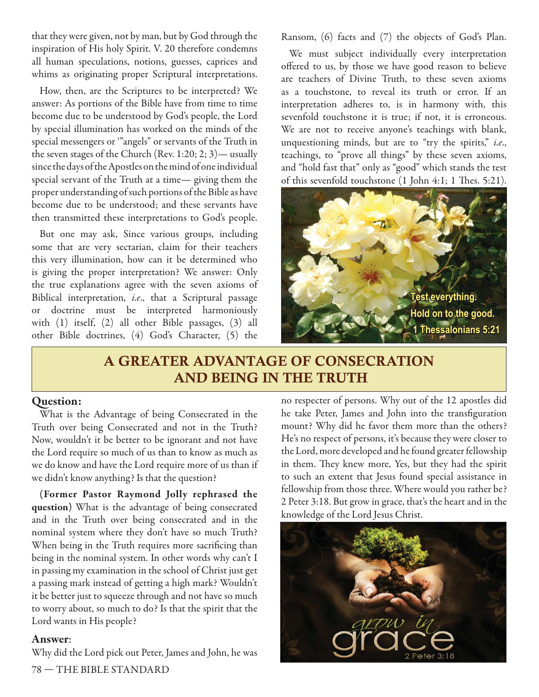that they were given, not by man, but by God through the inspiration of His holy Spirit. V. 20 therefore condemns all human speculations, notions, guesses, caprices and whims as originating proper Scriptural interpretations.

How, then, are the Scriptures to be interpreted? We answer: As portions of the Bible have from time to time become due to be understood by God's people, the Lord by special illumination has worked on the minds of the special messengers or '"angels" or servants of the Truth in the seven stages of the Church (Rev. 1:20; 2; 3)— usually since the days of the Apostles on the mind of one individual special servant of the Truth at a time— giving them the proper understanding of such portions of the Bible as have become due to be understood; and these servants have then transmitted these interpretations to God's people.

But one may ask, Since various groups, including some that are very sectarian, claim for their teachers this very illumination, how can it be determined who is giving the proper interpretation? We answer: Only the true explanations agree with the seven axioms of Biblical interpretation, i.e., that a Scriptural passage or doctrine must be interpreted harmoniously with (1) itself, (2) all other Bible passages, (3) all other Bible doctrines, (4) God's Character, (5) the

Ransom, (6) facts and (7) the objects of God's Plan.

We must subject individually every interpretation offered to us, by those we have good reason to believe are teachers of Divine Truth, to these seven axioms as a touchstone, to reveal its truth or error. If an interpretation adheres to, is in harmony with, this sevenfold touchstone it is true; if not, it is erroneous. We are not to receive anyone's teachings with blank, unquestioning minds, but are to "try the spirits," i.e., teachings, to "prove all things" by these seven axioms, and "hold fast that" only as "good" which stands the test of this sevenfold touchstone (1 John 4:1; 1 Thes. 5:21).



## A GREATER ADVANTAGE OF CONSECRATION AND BEING IN THE TRUTH

#### **Question:**

What is the Advantage of being Consecrated in the Truth over being Consecrated and not in the Truth? Now, wouldn't it be better to be ignorant and not have the Lord require so much of us than to know as much as we do know and have the Lord require more of us than if we didn't know anything? Is that the question?

**(Former Pastor Raymond Jolly rephrased the question)** What is the advantage of being consecrated and in the Truth over being consecrated and in the nominal system where they don't have so much Truth? When being in the Truth requires more sacrificing than being in the nominal system. In other words why can't I in passing my examination in the school of Christ just get a passing mark instead of getting a high mark? Wouldn't it be better just to squeeze through and not have so much to worry about, so much to do? Is that the spirit that the Lord wants in His people?

#### **Answer**:

Why did the Lord pick out Peter, James and John, he was

no respecter of persons. Why out of the 12 apostles did he take Peter, James and John into the transfiguration mount? Why did he favor them more than the others? He's no respect of persons, it's because they were closer to the Lord, more developed and he found greater fellowship in them. They knew more, Yes, but they had the spirit to such an extent that Jesus found special assistance in fellowship from those three. Where would you rather be? 2 Peter 3:18. But grow in grace, that's the heart and in the knowledge of the Lord Jesus Christ.



78 — THE BIBLE STANDARD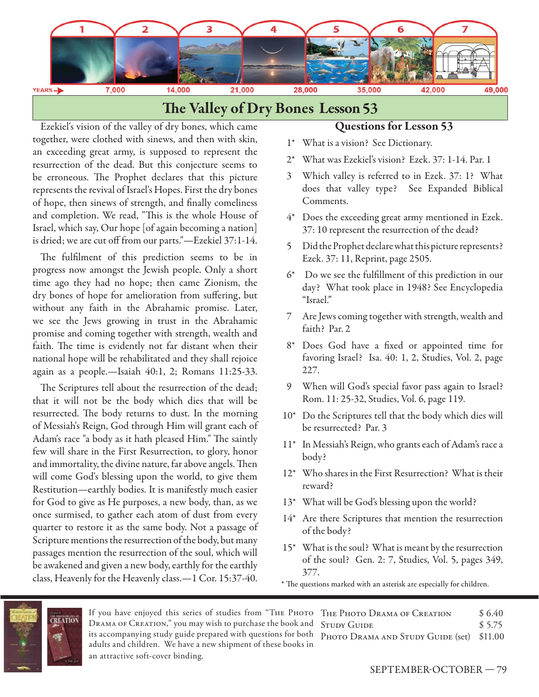

### **The Valley of Dry Bones Lesson 53**

Ezekiel's vision of the valley of dry bones, which came together, were clothed with sinews, and then with skin, an exceeding great army, is supposed to represent the resurrection of the dead. But this conjecture seems to be erroneous. The Prophet declares that this picture represents the revival of Israel's Hopes. First the dry bones of hope, then sinews of strength, and finally comeliness and completion. We read, "This is the whole House of Israel, which say, Our hope [of again becoming a nation] is dried; we are cut off from our parts."—Ezekiel 37:1-14.

The fulfilment of this prediction seems to be in progress now amongst the Jewish people. Only a short time ago they had no hope; then came Zionism, the dry bones of hope for amelioration from suffering, but without any faith in the Abrahamic promise. Later, we see the Jews growing in trust in the Abrahamic promise and coming together with strength, wealth and faith. The time is evidently not far distant when their national hope will be rehabilitated and they shall rejoice again as a people.—Isaiah 40:1, 2; Romans 11:25-33.

The Scriptures tell about the resurrection of the dead; that it will not be the body which dies that will be resurrected. The body returns to dust. In the morning of Messiah's Reign, God through Him will grant each of Adam's race "a body as it hath pleased Him." The saintly few will share in the First Resurrection, to glory, honor and immortality, the divine nature, far above angels. Then will come God's blessing upon the world, to give them Restitution—earthly bodies. It is manifestly much easier for God to give as He purposes, a new body, than, as we once surmised, to gather each atom of dust from every quarter to restore it as the same body. Not a passage of Scripture mentions the resurrection of the body, but many passages mention the resurrection of the soul, which will be awakened and given a new body, earthly for the earthly class, Heavenly for the Heavenly class.—1 Cor. 15:37-40.

#### **Questions for Lesson 53**

- 1\* What is a vision? See Dictionary.
- 2\* What was Ezekiel's vision? Ezek. 37: 1-14. Par. 1
- 3 Which valley is referred to in Ezek. 37: 1? What does that valley type? See Expanded Biblical Comments.
- 4\* Does the exceeding great army mentioned in Ezek. 37: 10 represent the resurrection of the dead?
- 5 Did the Prophet declare what this picture represents? Ezek. 37: 11, Reprint, page 2505.
- $6*$  Do we see the fulfillment of this prediction in our day? What took place in 1948? See Encyclopedia "Israel."
- 7 Are Jews coming together with strength, wealth and faith? Par. 2
- 8\* Does God have a fixed or appointed time for favoring Israel? Isa. 40: 1, 2, Studies, Vol. 2, page 227.
- 9 When will God's special favor pass again to Israel? Rom. 11: 25-32, Studies, Vol. 6, page 119.
- 10\* Do the Scriptures tell that the body which dies will be resurrected? Par. 3
- 11\* In Messiah's Reign, who grants each of Adam's race a body?
- 12\* Who shares in the First Resurrection? What is their reward?
- 13\* What will be God's blessing upon the world?
- 14\* Are there Scriptures that mention the resurrection of the body?
- 15\* What is the soul? What is meant by the resurrection of the soul? Gen. 2: 7, Studies, Vol. 5, pages 349, 377.
- \* The questions marked with an asterisk are especially for children.



If you have enjoyed this series of studies from "Тне Рното Тне Рното Drama ог Creation \$ 6.40 Drama of Creation," you may wish to purchase the book and STUDY GUIDE \$5.75 its accompanying study guide prepared with questions for both PHOTO DRAMA AND STUDY GUIDE (set) \$11.00 adults and children. We have a new shipment of these books in an attractive soft-cover binding.